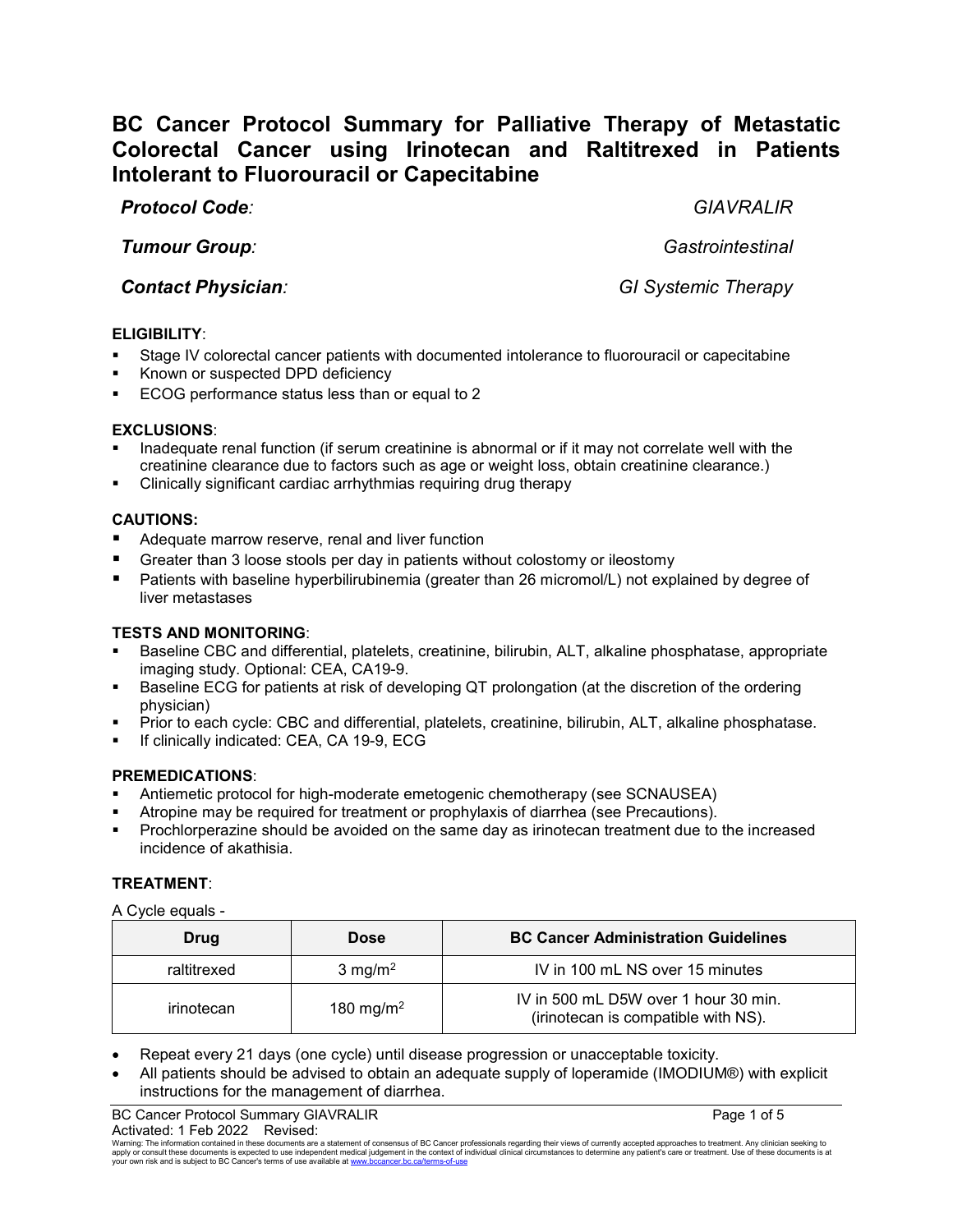# **BC Cancer Protocol Summary for Palliative Therapy of Metastatic Colorectal Cancer using Irinotecan and Raltitrexed in Patients Intolerant to Fluorouracil or Capecitabine**

*Protocol Code: GIAVRALIR*

*Tumour Group: Gastrointestinal*

*Contact Physician: GI Systemic Therapy*

# **ELIGIBILITY**:

- Stage IV colorectal cancer patients with documented intolerance to fluorouracil or capecitabine
- Known or suspected DPD deficiency
- ECOG performance status less than or equal to 2

# **EXCLUSIONS**:

- Inadequate renal function (if serum creatinine is abnormal or if it may not correlate well with the creatinine clearance due to factors such as age or weight loss, obtain creatinine clearance.)
- Clinically significant cardiac arrhythmias requiring drug therapy

# **CAUTIONS:**

- Adequate marrow reserve, renal and liver function
- Greater than 3 loose stools per day in patients without colostomy or ileostomy
- Patients with baseline hyperbilirubinemia (greater than 26 micromol/L) not explained by degree of liver metastases

# **TESTS AND MONITORING**:

- Baseline CBC and differential, platelets, creatinine, bilirubin, ALT, alkaline phosphatase, appropriate imaging study. Optional: CEA, CA19-9.
- Baseline ECG for patients at risk of developing QT prolongation (at the discretion of the ordering physician)
- Prior to each cycle: CBC and differential, platelets, creatinine, bilirubin, ALT, alkaline phosphatase.
- If clinically indicated: CEA, CA 19-9, ECG

# **PREMEDICATIONS**:

- Antiemetic protocol for high-moderate emetogenic chemotherapy (see SCNAUSEA)
- Atropine may be required for treatment or prophylaxis of diarrhea (see Precautions).
- Prochlorperazine should be avoided on the same day as irinotecan treatment due to the increased incidence of akathisia.

# **TREATMENT**:

A Cycle equals -

| Drug        | <b>Dose</b>           | <b>BC Cancer Administration Guidelines</b>                                  |
|-------------|-----------------------|-----------------------------------------------------------------------------|
| raltitrexed | $3 \text{ mg/m}^2$    | IV in 100 mL NS over 15 minutes                                             |
| irinotecan  | 180 mg/m <sup>2</sup> | IV in 500 mL D5W over 1 hour 30 min.<br>(irinotecan is compatible with NS). |

- Repeat every 21 days (one cycle) until disease progression or unacceptable toxicity.
- All patients should be advised to obtain an adequate supply of loperamide (IMODIUM®) with explicit instructions for the management of diarrhea.

BC Cancer Protocol Summary GIAVRALIR **Page 1 of 5** and 2008 and 2008 and 2008 and 2008 and 2008 and 2008 and 200

Activated: 1 Feb 2022 Revised:<br>Warning: The information contained in these documents are a statement of consensus of BC Cancer professionals regarding their views of currently accepted approaches to treatment. Any clinicia apply or consult these documents is expected to use independent medical judgement in the context of individual clinical circumstances to determine any patient's care or treatment. Use of these documents is at<br>your own risk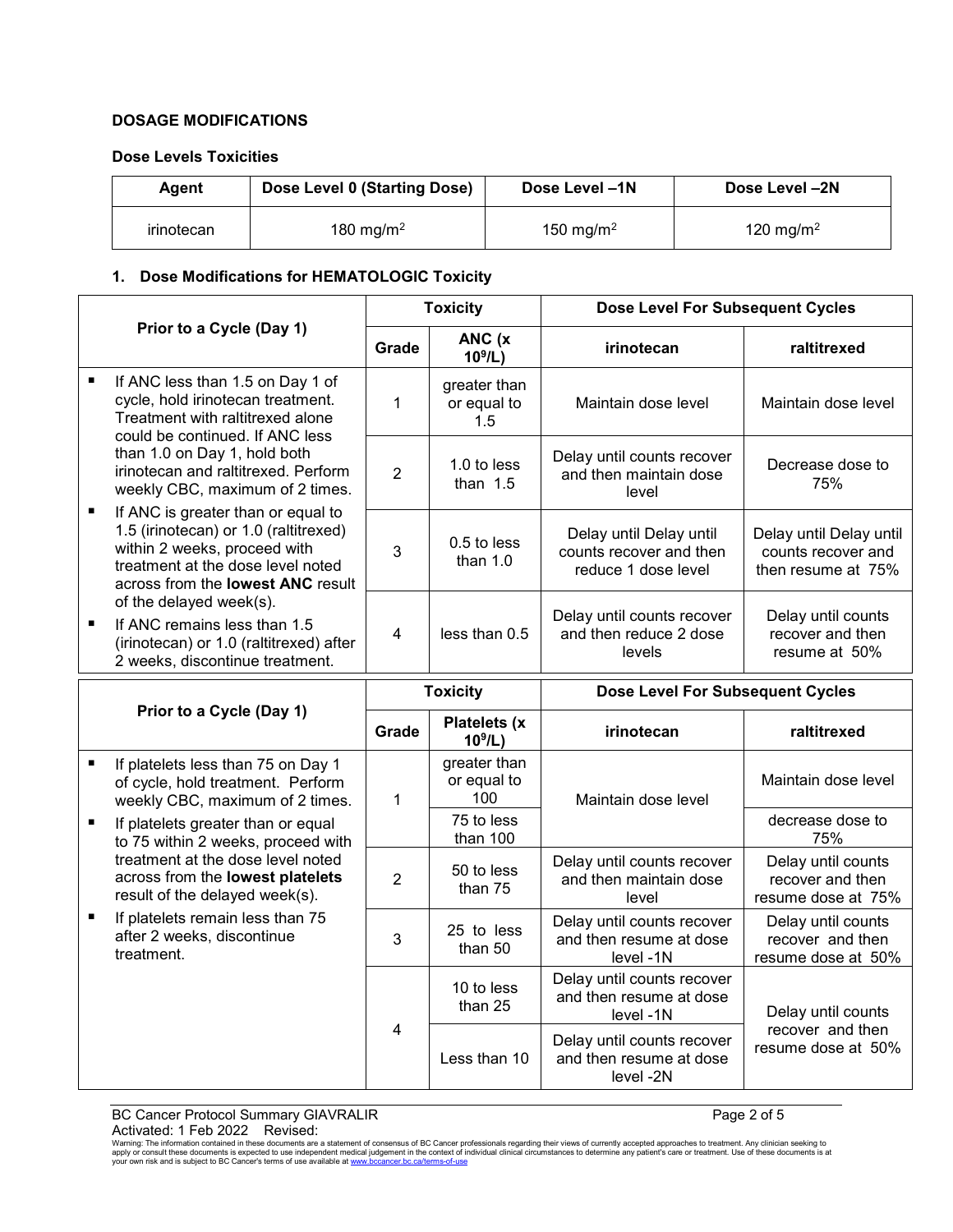# **DOSAGE MODIFICATIONS**

#### **Dose Levels Toxicities**

| Agent      | Dose Level 0 (Starting Dose) | Dose Level -1N        | Dose Level -2N        |  |
|------------|------------------------------|-----------------------|-----------------------|--|
| irinotecan | 180 mg/m <sup>2</sup>        | 150 mg/m <sup>2</sup> | 120 mg/m <sup>2</sup> |  |

# **1. Dose Modifications for HEMATOLOGIC Toxicity**

|                |                                                                                                                                                                                                           | <b>Toxicity</b> |                                    | <b>Dose Level For Subsequent Cycles</b>                                   |                                                                     |
|----------------|-----------------------------------------------------------------------------------------------------------------------------------------------------------------------------------------------------------|-----------------|------------------------------------|---------------------------------------------------------------------------|---------------------------------------------------------------------|
|                | Prior to a Cycle (Day 1)                                                                                                                                                                                  |                 | ANC (x<br>$10^9$ /L)               | irinotecan                                                                | raltitrexed                                                         |
| $\blacksquare$ | If ANC less than 1.5 on Day 1 of<br>cycle, hold irinotecan treatment.<br>Treatment with raltitrexed alone<br>could be continued. If ANC less                                                              | 1               | greater than<br>or equal to<br>1.5 | Maintain dose level                                                       | Maintain dose level                                                 |
|                | than 1.0 on Day 1, hold both<br>irinotecan and raltitrexed. Perform<br>weekly CBC, maximum of 2 times.                                                                                                    |                 | 1.0 to less<br>than $1.5$          | Delay until counts recover<br>and then maintain dose<br>level             | Decrease dose to<br>75%                                             |
| П              | If ANC is greater than or equal to<br>1.5 (irinotecan) or 1.0 (raltitrexed)<br>within 2 weeks, proceed with<br>treatment at the dose level noted<br>across from the lowest ANC result                     | 3               | 0.5 to less<br>than $1.0$          | Delay until Delay until<br>counts recover and then<br>reduce 1 dose level | Delay until Delay until<br>counts recover and<br>then resume at 75% |
|                | of the delayed week(s).<br>If ANC remains less than 1.5<br>(irinotecan) or 1.0 (raltitrexed) after<br>2 weeks, discontinue treatment.                                                                     | $\overline{4}$  | less than 0.5                      | Delay until counts recover<br>and then reduce 2 dose<br>levels            | Delay until counts<br>recover and then<br>resume at 50%             |
|                | Prior to a Cycle (Day 1)                                                                                                                                                                                  |                 | <b>Toxicity</b>                    | <b>Dose Level For Subsequent Cycles</b>                                   |                                                                     |
|                |                                                                                                                                                                                                           |                 | <b>Platelets (x)</b><br>$10^9$ /L) | irinotecan                                                                | raltitrexed                                                         |
| $\blacksquare$ | If platelets less than 75 on Day 1<br>of cycle, hold treatment. Perform<br>weekly CBC, maximum of 2 times.                                                                                                | 1               | greater than<br>or equal to<br>100 | Maintain dose level                                                       | Maintain dose level                                                 |
|                | If platelets greater than or equal<br>to 75 within 2 weeks, proceed with                                                                                                                                  |                 | 75 to less<br>than 100             |                                                                           | decrease dose to<br>75%                                             |
|                | treatment at the dose level noted<br>across from the lowest platelets<br>result of the delayed week(s).<br>If platelets remain less than 75<br>$\blacksquare$<br>after 2 weeks, discontinue<br>treatment. | $\overline{2}$  | 50 to less<br>than 75              | Delay until counts recover<br>and then maintain dose<br>level             | Delay until counts<br>recover and then<br>resume dose at 75%        |
|                |                                                                                                                                                                                                           | 3               | 25 to less<br>than 50              | Delay until counts recover<br>and then resume at dose<br>level -1N        | Delay until counts<br>recover and then<br>resume dose at 50%        |
|                |                                                                                                                                                                                                           | 4               | 10 to less<br>than 25              | Delay until counts recover<br>and then resume at dose<br>level -1N        | Delay until counts                                                  |
|                |                                                                                                                                                                                                           |                 | Less than 10                       | Delay until counts recover<br>and then resume at dose<br>level -2N        | recover and then<br>resume dose at 50%                              |

BC Cancer Protocol Summary GIAVRALIR Page 2 of 5

 $\text{Activated: 1 Feb 2022 }\newline$  Revised:<br>Warning: The information contained in these documents are a statement of consensus of BC Cancer professionals regarding their views of currently accepted approaches to treatment. Any clinician s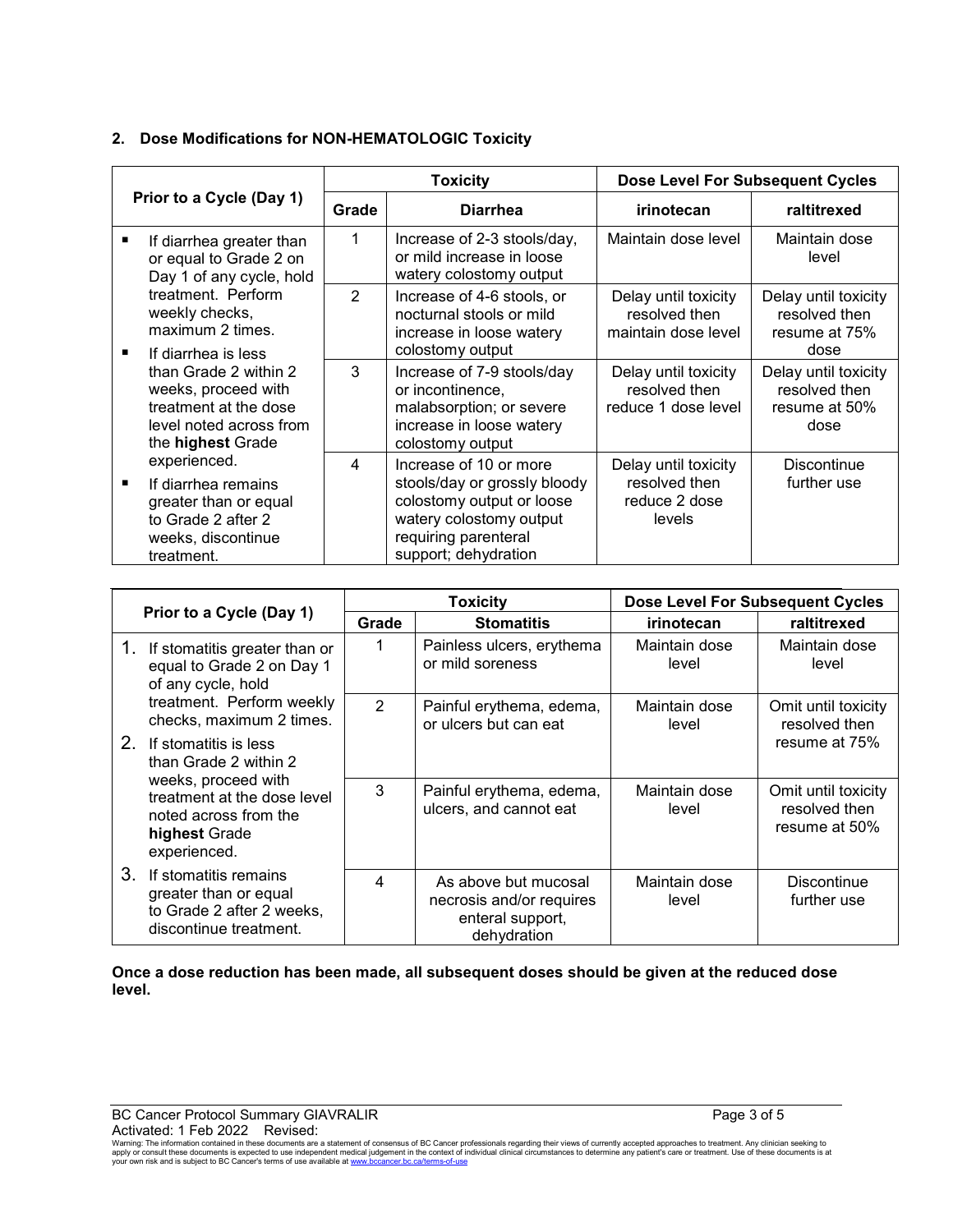|                                                                                                                                                   | <b>Toxicity</b> |                                                                                                                                                                | <b>Dose Level For Subsequent Cycles</b>                          |                                                                |
|---------------------------------------------------------------------------------------------------------------------------------------------------|-----------------|----------------------------------------------------------------------------------------------------------------------------------------------------------------|------------------------------------------------------------------|----------------------------------------------------------------|
| Prior to a Cycle (Day 1)                                                                                                                          | Grade           | <b>Diarrhea</b>                                                                                                                                                | irinotecan                                                       | raltitrexed                                                    |
| If diarrhea greater than<br>٠<br>or equal to Grade 2 on<br>Day 1 of any cycle, hold                                                               | 1               | Increase of 2-3 stools/day,<br>or mild increase in loose<br>watery colostomy output                                                                            | Maintain dose level                                              | Maintain dose<br>level                                         |
| treatment. Perform<br>weekly checks,<br>maximum 2 times.                                                                                          | $\overline{2}$  | Increase of 4-6 stools, or<br>nocturnal stools or mild<br>increase in loose watery                                                                             | Delay until toxicity<br>resolved then<br>maintain dose level     | Delay until toxicity<br>resolved then<br>resume at 75%<br>dose |
| If diarrhea is less<br>п<br>than Grade 2 within 2<br>weeks, proceed with<br>treatment at the dose<br>level noted across from<br>the highest Grade | 3               | colostomy output<br>Increase of 7-9 stools/day<br>or incontinence,<br>malabsorption; or severe<br>increase in loose watery<br>colostomy output                 | Delay until toxicity<br>resolved then<br>reduce 1 dose level     | Delay until toxicity<br>resolved then<br>resume at 50%<br>dose |
| experienced.<br>If diarrhea remains<br>п<br>greater than or equal<br>to Grade 2 after 2<br>weeks, discontinue<br>treatment.                       | 4               | Increase of 10 or more<br>stools/day or grossly bloody<br>colostomy output or loose<br>watery colostomy output<br>requiring parenteral<br>support; dehydration | Delay until toxicity<br>resolved then<br>reduce 2 dose<br>levels | <b>Discontinue</b><br>further use                              |

# **2. Dose Modifications for NON-HEMATOLOGIC Toxicity**

| Prior to a Cycle (Day 1)                                                                                     |                                                                                                       | <b>Toxicity</b>                               |                                                                                     | <b>Dose Level For Subsequent Cycles</b> |                                                       |
|--------------------------------------------------------------------------------------------------------------|-------------------------------------------------------------------------------------------------------|-----------------------------------------------|-------------------------------------------------------------------------------------|-----------------------------------------|-------------------------------------------------------|
|                                                                                                              |                                                                                                       | Grade                                         | <b>Stomatitis</b>                                                                   | irinotecan                              | raltitrexed                                           |
| 1.<br>If stomatitis greater than or<br>equal to Grade 2 on Day 1<br>of any cycle, hold                       | 1                                                                                                     | Painless ulcers, erythema<br>or mild soreness | Maintain dose<br>level                                                              | Maintain dose<br>level                  |                                                       |
| treatment. Perform weekly<br>checks, maximum 2 times.                                                        |                                                                                                       | $\mathcal{P}$                                 | Painful erythema, edema,<br>or ulcers but can eat                                   | Maintain dose<br>level                  | Omit until toxicity<br>resolved then                  |
|                                                                                                              | 2.<br>If stomatitis is less<br>than Grade 2 within 2                                                  |                                               |                                                                                     |                                         | resume at 75%                                         |
| weeks, proceed with<br>treatment at the dose level<br>noted across from the<br>highest Grade<br>experienced. |                                                                                                       | 3                                             | Painful erythema, edema,<br>ulcers, and cannot eat                                  | Maintain dose<br>level                  | Omit until toxicity<br>resolved then<br>resume at 50% |
| 3.                                                                                                           | If stomatitis remains<br>greater than or equal<br>to Grade 2 after 2 weeks,<br>discontinue treatment. | 4                                             | As above but mucosal<br>necrosis and/or requires<br>enteral support,<br>dehydration | Maintain dose<br>level                  | <b>Discontinue</b><br>further use                     |

**Once a dose reduction has been made, all subsequent doses should be given at the reduced dose level.**

 $\text{Activated: 1 Feb 2022 }\newline$  Revised:<br>Warning: The information contained in these documents are a statement of consensus of BC Cancer professionals regarding their views of currently accepted approaches to treatment. Any clinician s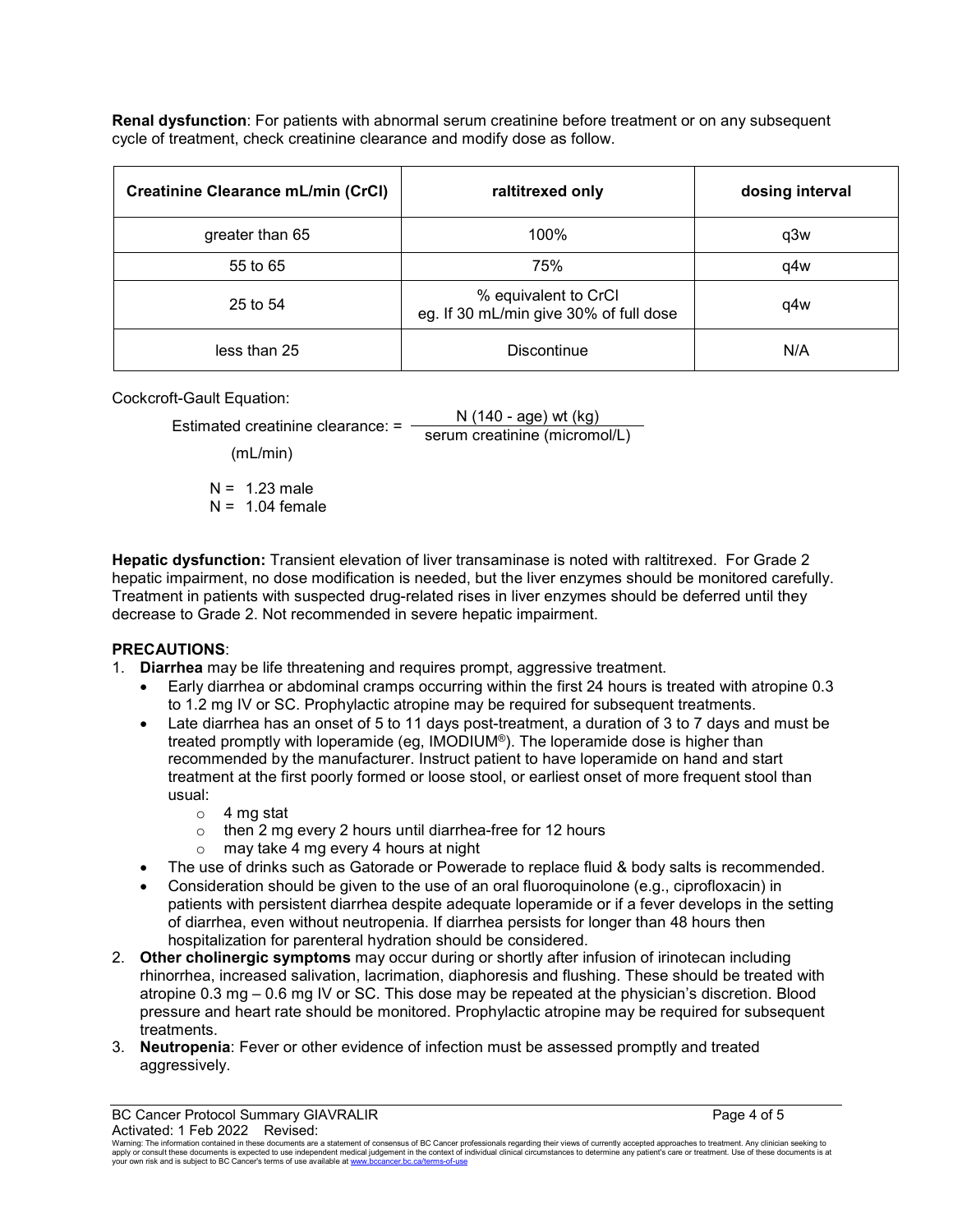**Renal dysfunction**: For patients with abnormal serum creatinine before treatment or on any subsequent cycle of treatment, check creatinine clearance and modify dose as follow.

| <b>Creatinine Clearance mL/min (CrCl)</b> | raltitrexed only                                               | dosing interval |
|-------------------------------------------|----------------------------------------------------------------|-----------------|
| greater than 65                           | 100%                                                           | q3w             |
| 55 to 65                                  | 75%                                                            | q4w             |
| 25 to 54                                  | % equivalent to CrCl<br>eg. If 30 mL/min give 30% of full dose | q4w             |
| less than 25                              | Discontinue                                                    | N/A             |

Cockcroft-Gault Equation:

| Estimated creatinine clearance: = | N $(140 - age)$ wt $(kg)$     |  |
|-----------------------------------|-------------------------------|--|
|                                   | serum creatinine (micromol/L) |  |

(mL/min)

 $N = 1.23$  male  $N = 1.04$  female

**Hepatic dysfunction:** Transient elevation of liver transaminase is noted with raltitrexed. For Grade 2 hepatic impairment, no dose modification is needed, but the liver enzymes should be monitored carefully. Treatment in patients with suspected drug-related rises in liver enzymes should be deferred until they decrease to Grade 2. Not recommended in severe hepatic impairment.

# **PRECAUTIONS**:

- 1. **Diarrhea** may be life threatening and requires prompt, aggressive treatment.
	- Early diarrhea or abdominal cramps occurring within the first 24 hours is treated with atropine 0.3 to 1.2 mg IV or SC. Prophylactic atropine may be required for subsequent treatments.
	- Late diarrhea has an onset of 5 to 11 days post-treatment, a duration of 3 to 7 days and must be treated promptly with loperamide (eg, IMODIUM®). The loperamide dose is higher than recommended by the manufacturer. Instruct patient to have loperamide on hand and start treatment at the first poorly formed or loose stool, or earliest onset of more frequent stool than usual:
		- $\circ$  4 mg stat
		- $\circ$  then 2 mg every 2 hours until diarrhea-free for 12 hours
		- o may take 4 mg every 4 hours at night
	- The use of drinks such as Gatorade or Powerade to replace fluid & body salts is recommended.
	- Consideration should be given to the use of an oral fluoroquinolone (e.g., ciprofloxacin) in patients with persistent diarrhea despite adequate loperamide or if a fever develops in the setting of diarrhea, even without neutropenia. If diarrhea persists for longer than 48 hours then hospitalization for parenteral hydration should be considered.
- 2. **Other cholinergic symptoms** may occur during or shortly after infusion of irinotecan including rhinorrhea, increased salivation, lacrimation, diaphoresis and flushing. These should be treated with atropine 0.3 mg – 0.6 mg IV or SC. This dose may be repeated at the physician's discretion. Blood pressure and heart rate should be monitored. Prophylactic atropine may be required for subsequent treatments.
- 3. **Neutropenia**: Fever or other evidence of infection must be assessed promptly and treated aggressively.

BC Cancer Protocol Summary GIAVRALIR **Page 4 of 5** and 2008 and 2008 and 2008 and 2008 and 2008 and 2008 and 200

Activated: 1 Feb 2022 Revised:<br>Warning: The information contained in these documents are a statement of consensus of BC Cancer professionals regarding their views of currently accepted approaches to treatment. Any clinicia apply or consult these documents is expected to use independent medical judgement in the context of individual clinical circumstances to determine any patient's care or treatment. Use of these documents is at<br>your own risk